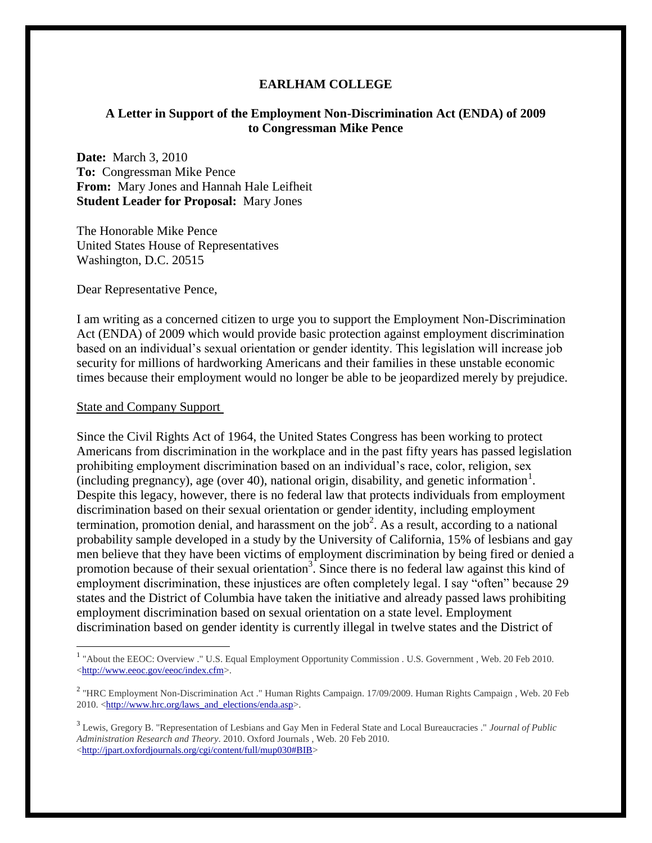### **EARLHAM COLLEGE**

### **A Letter in Support of the Employment Non-Discrimination Act (ENDA) of 2009 to Congressman Mike Pence**

**Date:** March 3, 2010 **To:** Congressman Mike Pence **From:** Mary Jones and Hannah Hale Leifheit **Student Leader for Proposal:** Mary Jones

The Honorable Mike Pence United States House of Representatives Washington, D.C. 20515

Dear Representative Pence,

I am writing as a concerned citizen to urge you to support the Employment Non-Discrimination Act (ENDA) of 2009 which would provide basic protection against employment discrimination based on an individual"s sexual orientation or gender identity. This legislation will increase job security for millions of hardworking Americans and their families in these unstable economic times because their employment would no longer be able to be jeopardized merely by prejudice.

#### State and Company Support

 $\overline{a}$ 

Since the Civil Rights Act of 1964, the United States Congress has been working to protect Americans from discrimination in the workplace and in the past fifty years has passed legislation prohibiting employment discrimination based on an individual"s race, color, religion, sex (including pregnancy), age (over 40), national origin, disability, and genetic information<sup>1</sup>. Despite this legacy, however, there is no federal law that protects individuals from employment discrimination based on their sexual orientation or gender identity, including employment termination, promotion denial, and harassment on the job<sup>2</sup>. As a result, according to a national probability sample developed in a study by the University of California, 15% of lesbians and gay men believe that they have been victims of employment discrimination by being fired or denied a promotion because of their sexual orientation<sup>3</sup>. Since there is no federal law against this kind of employment discrimination, these injustices are often completely legal. I say "often" because 29 states and the District of Columbia have taken the initiative and already passed laws prohibiting employment discrimination based on sexual orientation on a state level. Employment discrimination based on gender identity is currently illegal in twelve states and the District of

<sup>&</sup>lt;sup>1</sup> "About the EEOC: Overview ." U.S. Equal Employment Opportunity Commission . U.S. Government, Web. 20 Feb 2010. [<http://www.eeoc.gov/eeoc/index.cfm>](http://www.eeoc.gov/eeoc/index.cfm).

<sup>&</sup>lt;sup>2</sup> "HRC Employment Non-Discrimination Act ." Human Rights Campaign. 17/09/2009. Human Rights Campaign, Web. 20 Feb 2010. [<http://www.hrc.org/laws\\_and\\_elections/enda.asp>](http://www.hrc.org/laws_and_elections/enda.asp).

<sup>3</sup> Lewis, Gregory B. "Representation of Lesbians and Gay Men in Federal State and Local Bureaucracies ." *Journal of Public Administration Research and Theory*. 2010. Oxford Journals , Web. 20 Feb 2010. [<http://jpart.oxfordjournals.org/cgi/content/full/mup030#BIB>](http://jpart.oxfordjournals.org/cgi/content/full/mup030#BIB)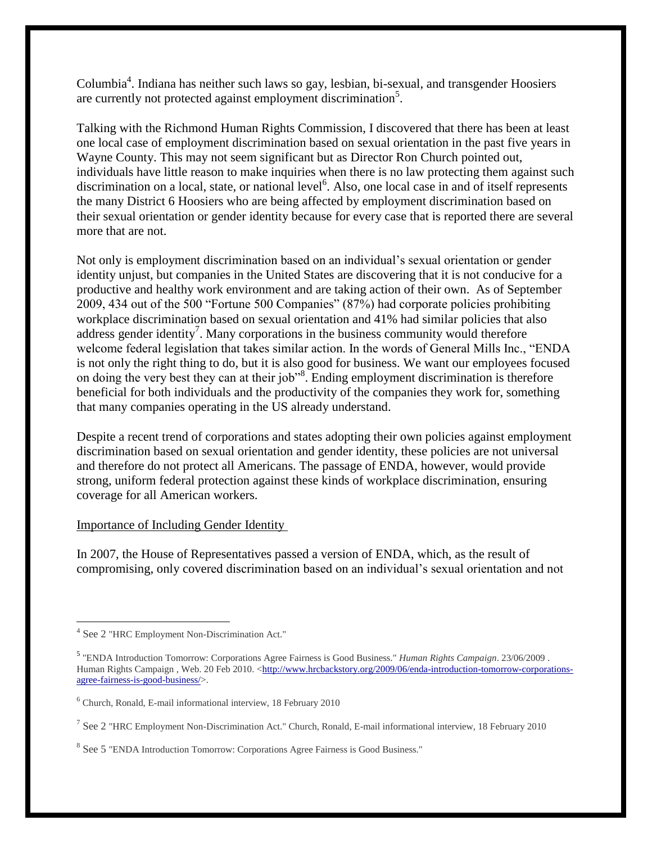Columbia<sup>4</sup>. Indiana has neither such laws so gay, lesbian, bi-sexual, and transgender Hoosiers are currently not protected against employment discrimination<sup>5</sup>.

Talking with the Richmond Human Rights Commission, I discovered that there has been at least one local case of employment discrimination based on sexual orientation in the past five years in Wayne County. This may not seem significant but as Director Ron Church pointed out, individuals have little reason to make inquiries when there is no law protecting them against such discrimination on a local, state, or national level<sup>6</sup>. Also, one local case in and of itself represents the many District 6 Hoosiers who are being affected by employment discrimination based on their sexual orientation or gender identity because for every case that is reported there are several more that are not.

Not only is employment discrimination based on an individual"s sexual orientation or gender identity unjust, but companies in the United States are discovering that it is not conducive for a productive and healthy work environment and are taking action of their own. As of September 2009, 434 out of the 500 "Fortune 500 Companies" (87%) had corporate policies prohibiting workplace discrimination based on sexual orientation and 41% had similar policies that also address gender identity<sup>7</sup>. Many corporations in the business community would therefore welcome federal legislation that takes similar action. In the words of General Mills Inc., "ENDA is not only the right thing to do, but it is also good for business. We want our employees focused on doing the very best they can at their job"<sup>8</sup>. Ending employment discrimination is therefore beneficial for both individuals and the productivity of the companies they work for, something that many companies operating in the US already understand.

Despite a recent trend of corporations and states adopting their own policies against employment discrimination based on sexual orientation and gender identity, these policies are not universal and therefore do not protect all Americans. The passage of ENDA, however, would provide strong, uniform federal protection against these kinds of workplace discrimination, ensuring coverage for all American workers.

# Importance of Including Gender Identity

In 2007, the House of Representatives passed a version of ENDA, which, as the result of compromising, only covered discrimination based on an individual"s sexual orientation and not

 $\overline{a}$ 

<sup>4</sup> See 2 "HRC Employment Non-Discrimination Act."

<sup>5</sup> "ENDA Introduction Tomorrow: Corporations Agree Fairness is Good Business." *Human Rights Campaign*. 23/06/2009 . Human Rights Campaign, Web. 20 Feb 2010. [<http://www.hrcbackstory.org/2009/06/enda-introduction-tomorrow-corporations](http://www.hrcbackstory.org/2009/06/enda-introduction-tomorrow-corporations-agree-fairness-is-good-business/)[agree-fairness-is-good-business/>](http://www.hrcbackstory.org/2009/06/enda-introduction-tomorrow-corporations-agree-fairness-is-good-business/).

<sup>6</sup> Church, Ronald, E-mail informational interview, 18 February 2010

<sup>&</sup>lt;sup>7</sup> See 2 "HRC Employment Non-Discrimination Act." Church, Ronald, E-mail informational interview, 18 February 2010

<sup>&</sup>lt;sup>8</sup> See 5 "ENDA Introduction Tomorrow: Corporations Agree Fairness is Good Business."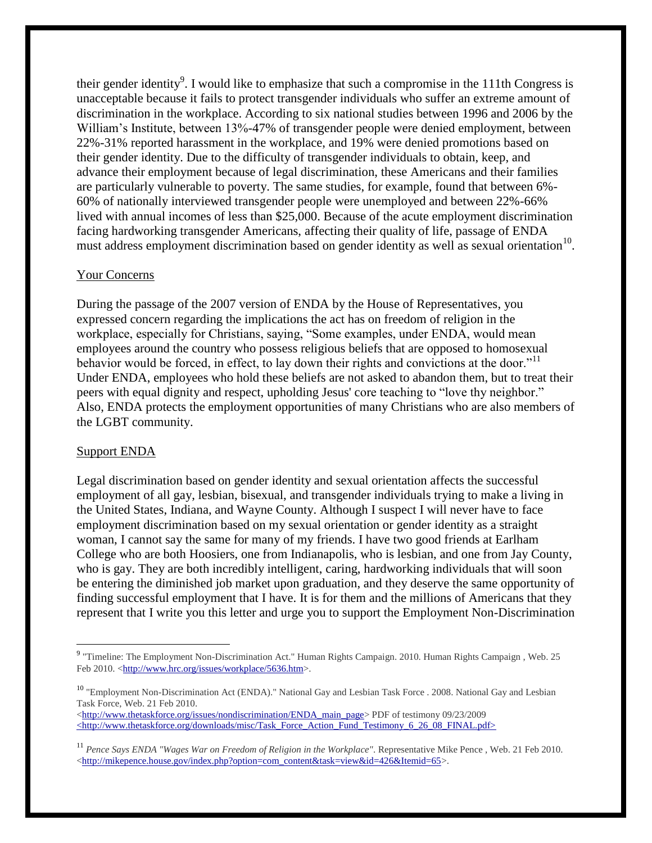their gender identity<sup>9</sup>. I would like to emphasize that such a compromise in the 111th Congress is unacceptable because it fails to protect transgender individuals who suffer an extreme amount of discrimination in the workplace. According to six national studies between 1996 and 2006 by the William"s Institute, between 13%-47% of transgender people were denied employment, between 22%-31% reported harassment in the workplace, and 19% were denied promotions based on their gender identity. Due to the difficulty of transgender individuals to obtain, keep, and advance their employment because of legal discrimination, these Americans and their families are particularly vulnerable to poverty. The same studies, for example, found that between 6%- 60% of nationally interviewed transgender people were unemployed and between 22%-66% lived with annual incomes of less than \$25,000. Because of the acute employment discrimination facing hardworking transgender Americans, affecting their quality of life, passage of ENDA must address employment discrimination based on gender identity as well as sexual orientation<sup>10</sup>.

# Your Concerns

During the passage of the 2007 version of ENDA by the House of Representatives, you expressed concern regarding the implications the act has on freedom of religion in the workplace, especially for Christians, saying, "Some examples, under ENDA, would mean employees around the country who possess religious beliefs that are opposed to homosexual behavior would be forced, in effect, to lay down their rights and convictions at the door."<sup>11</sup> Under ENDA, employees who hold these beliefs are not asked to abandon them, but to treat their peers with equal dignity and respect, upholding Jesus' core teaching to "love thy neighbor." Also, ENDA protects the employment opportunities of many Christians who are also members of the LGBT community.

# Support ENDA

 $\overline{a}$ 

Legal discrimination based on gender identity and sexual orientation affects the successful employment of all gay, lesbian, bisexual, and transgender individuals trying to make a living in the United States, Indiana, and Wayne County. Although I suspect I will never have to face employment discrimination based on my sexual orientation or gender identity as a straight woman, I cannot say the same for many of my friends. I have two good friends at Earlham College who are both Hoosiers, one from Indianapolis, who is lesbian, and one from Jay County, who is gay. They are both incredibly intelligent, caring, hardworking individuals that will soon be entering the diminished job market upon graduation, and they deserve the same opportunity of finding successful employment that I have. It is for them and the millions of Americans that they represent that I write you this letter and urge you to support the Employment Non-Discrimination

[<http://www.thetaskforce.org/issues/nondiscrimination/ENDA\\_main\\_page>](http://www.thetaskforce.org/issues/nondiscrimination/ENDA_main_page) PDF of testimony 09/23/2009 [<http://www.thetaskforce.org/downloads/misc/Task\\_Force\\_Action\\_Fund\\_Testimony\\_6\\_26\\_08\\_FINAL.pdf>](http://www.thetaskforce.org/downloads/misc/Task_Force_Action_Fund_Testimony_6_26_08_FINAL.pdf)

<sup>&</sup>lt;sup>9</sup> "Timeline: The Employment Non-Discrimination Act." Human Rights Campaign. 2010. Human Rights Campaign, Web. 25 Feb 2010. [<http://www.hrc.org/issues/workplace/5636.htm>](http://www.hrc.org/issues/workplace/5636.htm).

<sup>&</sup>lt;sup>10</sup> "Employment Non-Discrimination Act (ENDA)." National Gay and Lesbian Task Force . 2008. National Gay and Lesbian Task Force, Web. 21 Feb 2010.

<sup>11</sup> *Pence Says ENDA "Wages War on Freedom of Religion in the Workplace"*. Representative Mike Pence , Web. 21 Feb 2010. [<http://mikepence.house.gov/index.php?option=com\\_content&task=view&id=426&Itemid=65>](http://mikepence.house.gov/index.php?option=com_content&task=view&id=426&Itemid=65).